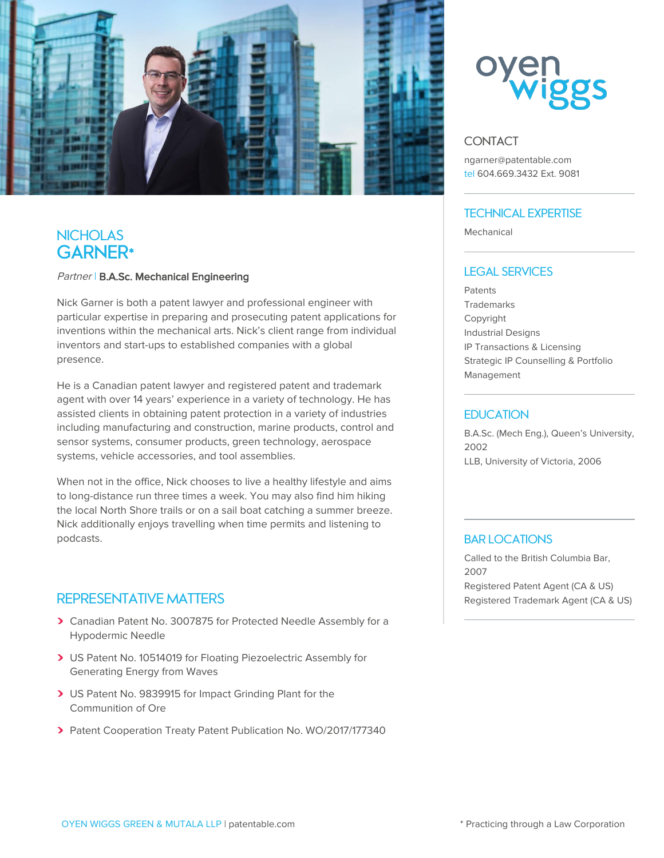

# **NICHOLAS GARNER\***

#### Partner | B.A.Sc. Mechanical Engineering

Nick Garner is both a patent lawyer and professional engineer with particular expertise in preparing and prosecuting patent applications for inventions within the mechanical arts. Nick's client range from individual inventors and start-ups to established companies with a global presence.

He is a Canadian patent lawyer and registered patent and trademark agent with over 14 years' experience in a variety of technology. He has assisted clients in obtaining patent protection in a variety of industries including manufacturing and construction, marine products, control and sensor systems, consumer products, green technology, aerospace systems, vehicle accessories, and tool assemblies.

When not in the office, Nick chooses to live a healthy lifestyle and aims to long-distance run three times a week. You may also find him hiking the local North Shore trails or on a sail boat catching a summer breeze. Nick additionally enjoys travelling when time permits and listening to podcasts.

## **REPRESENTATIVE MATTERS**

- Canadian Patent No. 3007875 for Protected Needle Assembly for a Hypodermic Needle
- US Patent No. 10514019 for Floating Piezoelectric Assembly for Generating Energy from Waves
- US Patent No. 9839915 for Impact Grinding Plant for the Communition of Ore
- Patent Cooperation Treaty Patent Publication No. WO/2017/177340



### **CONTACT**

ngarner@patentable.com tel 604.669.3432 Ext. 9081

### **TECHNICAL EXPERTISE**

Mechanical

#### **LEGAL SERVICES**

**Patents Trademarks** Copyright Industrial Designs IP Transactions & Licensing Strategic IP Counselling & Portfolio Management

#### **EDUCATION**

B.A.Sc. (Mech Eng.), Queen's University, 2002 LLB, University of Victoria, 2006

### **BAR LOCATIONS**

Called to the British Columbia Bar, 2007 Registered Patent Agent (CA & US) Registered Trademark Agent (CA & US)